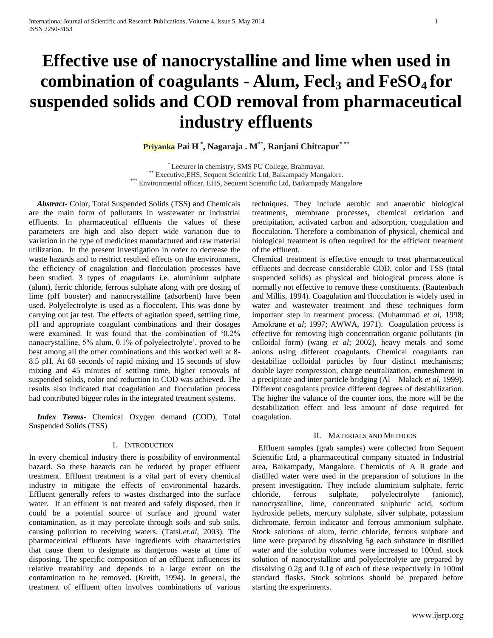# **Effective use of nanocrystalline and lime when used in combination of coagulants - Alum, Fecl<sup>3</sup> and FeSO4 for suspended solids and COD removal from pharmaceutical industry effluents**

**Priyanka Pai H \* , Nagaraja . M\*\* , Ranjani Chitrapur\* \*\***

\* Lecturer in chemistry, SMS PU College, Brahmavar. \*\* Executive,EHS, Sequent Scientific Ltd, Baikampady Mangalore. \*\*\* Environmental officer, EHS, Sequent Scientific Ltd, Baikampady Mangalore

 *Abstract***-** Color, Total Suspended Solids (TSS) and Chemicals are the main form of pollutants in wastewater or industrial effluents. In pharmaceutical effluents the values of these parameters are high and also depict wide variation due to variation in the type of medicines manufactured and raw material utilization. In the present investigation in order to decrease the waste hazards and to restrict resulted effects on the environment, the efficiency of coagulation and flocculation processes have been studied. 3 types of coagulants i.e. aluminium sulphate (alum), ferric chloride, ferrous sulphate along with pre dosing of lime (pH booster) and nanocrystalline (adsorbent) have been used. Polyelectrolyte is used as a flocculent. This was done by carrying out jar test. The effects of agitation speed, settling time, pH and appropriate coagulant combinations and their dosages were examined. It was found that the combination of '0.2% nanocrystalline, 5% alum, 0.1% of polyelectrolyte', proved to be best among all the other combinations and this worked well at 8- 8.5 pH. At 60 seconds of rapid mixing and 15 seconds of slow mixing and 45 minutes of settling time, higher removals of suspended solids, color and reduction in COD was achieved. The results also indicated that coagulation and flocculation process had contributed bigger roles in the integrated treatment systems.

 *Index Terms*- Chemical Oxygen demand (COD), Total Suspended Solids (TSS)

## I. INTRODUCTION

In every chemical industry there is possibility of environmental hazard. So these hazards can be reduced by proper effluent treatment. Effluent treatment is a vital part of every chemical industry to mitigate the effects of environmental hazards. Effluent generally refers to wastes discharged into the surface water. If an effluent is not treated and safely disposed, then it could be a potential source of surface and ground water contamination, as it may percolate through soils and sub soils, causing pollution to receiving waters. (Tatsi.*et.al*, 2003). The pharmaceutical effluents have ingredients with characteristics that cause them to designate as dangerous waste at time of disposing. The specific composition of an effluent influences its relative treatability and depends to a large extent on the contamination to be removed. (Kreith, 1994). In general, the treatment of effluent often involves combinations of various techniques. They include aerobic and anaerobic biological treatments, membrane processes, chemical oxidation and precipitation, activated carbon and adsorption, coagulation and flocculation. Therefore a combination of physical, chemical and biological treatment is often required for the efficient treatment of the effluent.

Chemical treatment is effective enough to treat pharmaceutical effluents and decrease considerable COD, color and TSS (total suspended solids) as physical and biological process alone is normally not effective to remove these constituents. (Rautenbach and Millis, 1994). Coagulation and flocculation is widely used in water and wastewater treatment and these techniques form important step in treatment process. (Muhammad *et al*, 1998; Amokrane *et al*; 1997; AWWA, 1971). Coagulation process is effective for removing high concentration organic pollutants (in colloidal form) (wang *et al*; 2002), heavy metals and some anions using different coagulants. Chemical coagulants can destabilize colloidal particles by four distinct mechanisms; double layer compression, charge neutralization, enmeshment in a precipitate and inter particle bridging (Al – Malack *et al*, 1999). Different coagulants provide different degrees of destabilization. The higher the valance of the counter ions, the more will be the destabilization effect and less amount of dose required for coagulation.

## II. MATERIALS AND METHODS

 Effluent samples (grab samples) were collected from Sequent Scientific Ltd, a pharmaceutical company situated in Industrial area, Baikampady, Mangalore. Chemicals of A R grade and distilled water were used in the preparation of solutions in the present investigation. They include aluminium sulphate, ferric chloride, ferrous sulphate, polyelectrolyte (anionic), nanocrystalline, lime, concentrated sulphuric acid, sodium hydroxide pellets, mercury sulphate, silver sulphate, potassium dichromate, ferroin indicator and ferrous ammonium sulphate. Stock solutions of alum, ferric chloride, ferrous sulphate and lime were prepared by dissolving 5g each substance in distilled water and the solution volumes were increased to 100ml. stock solution of nanocrystalline and polyelectrolyte are prepared by dissolving 0.2g and 0.1g of each of these respectively in 100ml standard flasks. Stock solutions should be prepared before starting the experiments.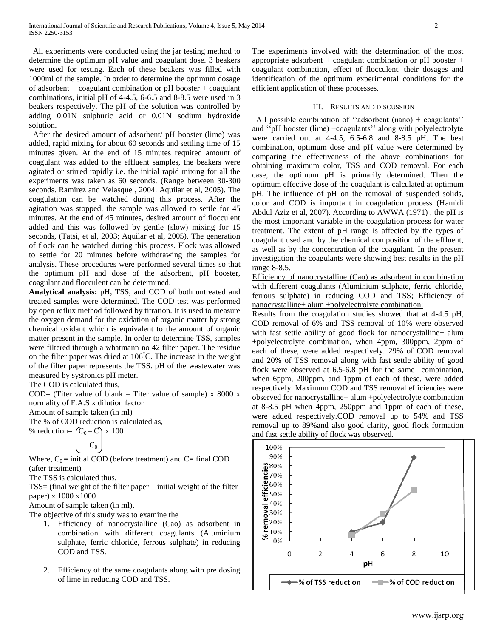All experiments were conducted using the jar testing method to determine the optimum pH value and coagulant dose. 3 beakers were used for testing. Each of these beakers was filled with 1000ml of the sample. In order to determine the optimum dosage of adsorbent + coagulant combination or pH booster + coagulant combinations, initial pH of 4-4.5, 6-6.5 and 8-8.5 were used in 3 beakers respectively. The pH of the solution was controlled by adding 0.01N sulphuric acid or 0.01N sodium hydroxide solution.

 After the desired amount of adsorbent/ pH booster (lime) was added, rapid mixing for about 60 seconds and settling time of 15 minutes given. At the end of 15 minutes required amount of coagulant was added to the effluent samples, the beakers were agitated or stirred rapidly i.e. the initial rapid mixing for all the experiments was taken as 60 seconds. (Range between 30-300 seconds. Ramirez and Velasque , 2004. Aquilar et al, 2005). The coagulation can be watched during this process. After the agitation was stopped, the sample was allowed to settle for 45 minutes. At the end of 45 minutes, desired amount of flocculent added and this was followed by gentle (slow) mixing for 15 seconds, (Tatsi, et al, 2003; Aquilar et al, 2005). The generation of flock can be watched during this process. Flock was allowed to settle for 20 minutes before withdrawing the samples for analysis. These procedures were performed several times so that the optimum pH and dose of the adsorbent, pH booster, coagulant and flocculent can be determined.

**Analytical analysis:** pH, TSS, and COD of both untreated and treated samples were determined. The COD test was performed by open reflux method followed by titration. It is used to measure the oxygen demand for the oxidation of organic matter by strong chemical oxidant which is equivalent to the amount of organic matter present in the sample. In order to determine TSS, samples were filtered through a whatmann no 42 filter paper. The residue on the filter paper was dried at 106°C. The increase in the weight of the filter paper represents the TSS. pH of the wastewater was measured by systronics pH meter.

The COD is calculated thus,

COD= (Titer value of blank – Titer value of sample)  $x 8000 x$ normality of F.A.S x dilution factor

Amount of sample taken (in ml)

The % of COD reduction is calculated as,

% reduction=  $(C_0 - C) \times 100$ 

$$
\begin{array}{|c|c|} \hline C_0 \\ \hline \end{array}
$$

Where,  $C_0$  = initial COD (before treatment) and C= final COD (after treatment)

The TSS is calculated thus,

TSS= (final weight of the filter paper – initial weight of the filter paper) x 1000 x1000

Amount of sample taken (in ml).

The objective of this study was to examine the

- 1. Efficiency of nanocrystalline (Cao) as adsorbent in combination with different coagulants (Aluminium sulphate, ferric chloride, ferrous sulphate) in reducing COD and TSS.
- 2. Efficiency of the same coagulants along with pre dosing of lime in reducing COD and TSS.

The experiments involved with the determination of the most appropriate adsorbent + coagulant combination or pH booster + coagulant combination, effect of flocculent, their dosages and identification of the optimum experimental conditions for the efficient application of these processes.

#### III. RESULTS AND DISCUSSION

All possible combination of "adsorbent (nano) + coagulants" and ''pH booster (lime) +coagulants'' along with polyelectrolyte were carried out at 4-4.5, 6.5-6.8 and 8-8.5 pH. The best combination, optimum dose and pH value were determined by comparing the effectiveness of the above combinations for obtaining maximum color, TSS and COD removal. For each case, the optimum pH is primarily determined. Then the optimum effective dose of the coagulant is calculated at optimum pH. The influence of pH on the removal of suspended solids, color and COD is important in coagulation process (Hamidi Abdul Aziz et al, 2007). According to AWWA (1971) , the pH is the most important variable in the coagulation process for water treatment. The extent of pH range is affected by the types of coagulant used and by the chemical composition of the effluent, as well as by the concentration of the coagulant. In the present investigation the coagulants were showing best results in the pH range 8-8.5.

Efficiency of nanocrystalline (Cao) as adsorbent in combination with different coagulants (Aluminium sulphate, ferric chloride, ferrous sulphate) in reducing COD and TSS; Efficiency of nanocrystalline+ alum +polyelectrolyte combination:

Results from the coagulation studies showed that at 4-4.5 pH, COD removal of 6% and TSS removal of 10% were observed with fast settle ability of good flock for nanocrystalline+ alum +polyelectrolyte combination, when 4ppm, 300ppm, 2ppm of each of these, were added respectively. 29% of COD removal and 20% of TSS removal along with fast settle ability of good flock were observed at 6.5-6.8 pH for the same combination, when 6ppm, 200ppm, and 1ppm of each of these, were added respectively. Maximum COD and TSS removal efficiencies were observed for nanocrystalline+ alum +polyelectrolyte combination at 8-8.5 pH when 4ppm, 250ppm and 1ppm of each of these, were added respectively.COD removal up to 54% and TSS removal up to 89%and also good clarity, good flock formation and fast settle ability of flock was observed.

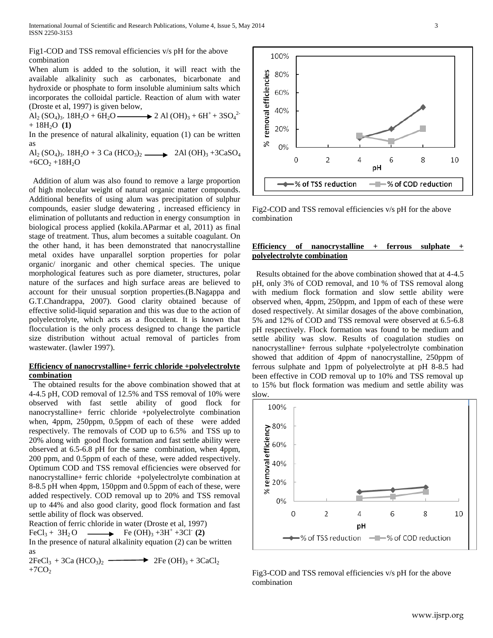Fig1-COD and TSS removal efficiencies v/s pH for the above combination

When alum is added to the solution, it will react with the available alkalinity such as carbonates, bicarbonate and hydroxide or phosphate to form insoluble aluminium salts which incorporates the colloidal particle. Reaction of alum with water (Droste et al, 1997) is given below,

 $\text{Al}_2 \, (\text{SO}_4)_3$ .  $18\text{H}_2\text{O} + 6\text{H}_2\text{O}$   $\longrightarrow$  2 Al  $(\text{OH})_3 + 6\text{H}^+ + 3\text{SO}_4^2$  $+ 18H<sub>2</sub>O (1)$ 

In the presence of natural alkalinity, equation (1) can be written as

Al<sub>2</sub> (SO<sub>4</sub>)<sub>3</sub>. 18H<sub>2</sub>O + 3 Ca (HCO<sub>3</sub>)<sub>2</sub> 2Al (OH)<sub>3</sub> +3CaSO<sub>4</sub>  $+6CO<sub>2</sub>+18H<sub>2</sub>O$ 

 Addition of alum was also found to remove a large proportion of high molecular weight of natural organic matter compounds. Additional benefits of using alum was precipitation of sulphur compounds, easier sludge dewatering , increased efficiency in elimination of pollutants and reduction in energy consumption in biological process applied (kokila.AParmar et al, 2011) as final stage of treatment. Thus, alum becomes a suitable coagulant. On the other hand, it has been demonstrated that nanocrystalline metal oxides have unparallel sorption properties for polar organic/ inorganic and other chemical species. The unique morphological features such as pore diameter, structures, polar nature of the surfaces and high surface areas are believed to account for their unusual sorption properties.(B.Nagappa and G.T.Chandrappa, 2007). Good clarity obtained because of effective solid-liquid separation and this was due to the action of polyelectrolyte, which acts as a flocculent. It is known that flocculation is the only process designed to change the particle size distribution without actual removal of particles from wastewater. (lawler 1997).

# **Efficiency of nanocrystalline+ ferric chloride +polyelectrolyte combination**

 The obtained results for the above combination showed that at 4-4.5 pH, COD removal of 12.5% and TSS removal of 10% were observed with fast settle ability of good flock for nanocrystalline+ ferric chloride +polyelectrolyte combination when, 4ppm, 250ppm, 0.5ppm of each of these were added respectively. The removals of COD up to 6.5% and TSS up to 20% along with good flock formation and fast settle ability were observed at 6.5-6.8 pH for the same combination, when 4ppm, 200 ppm, and 0.5ppm of each of these, were added respectively. Optimum COD and TSS removal efficiencies were observed for nanocrystalline+ ferric chloride +polyelectrolyte combination at 8-8.5 pH when 4ppm, 150ppm and 0.5ppm of each of these, were added respectively. COD removal up to 20% and TSS removal up to 44% and also good clarity, good flock formation and fast settle ability of flock was observed.

Reaction of ferric chloride in water (Droste et al, 1997)

 $FeCl<sub>3</sub> + 3H<sub>2</sub>O$   $\longrightarrow$   $Fe(OH)<sub>3</sub> + 3H<sup>+</sup> + 3Cl<sup>-</sup>(2)$ 

In the presence of natural alkalinity equation (2) can be written as

 $2FeCl<sub>3</sub> + 3Ca (HCO<sub>3</sub>)<sub>2</sub>$   $\longrightarrow$   $2Fe (OH)<sub>3</sub> + 3CaCl<sub>2</sub>$  $+7CO<sub>2</sub>$ 

100% removal efficiencies 80% 60% 40% 20%  $\aleph$ 0% 0  $\overline{2}$ 4 6 8 10 pН ∙% of TSS reduction 

Fig2-COD and TSS removal efficiencies v/s pH for the above combination

# **Efficiency** of nanocrystalline + ferrous sulphate **polyelectrolyte combination**

 Results obtained for the above combination showed that at 4-4.5 pH, only 3% of COD removal, and 10 % of TSS removal along with medium flock formation and slow settle ability were observed when, 4ppm, 250ppm, and 1ppm of each of these were dosed respectively. At similar dosages of the above combination, 5% and 12% of COD and TSS removal were observed at 6.5-6.8 pH respectively. Flock formation was found to be medium and settle ability was slow. Results of coagulation studies on nanocrystalline+ ferrous sulphate +polyelectrolyte combination showed that addition of 4ppm of nanocrystalline, 250ppm of ferrous sulphate and 1ppm of polyelectrolyte at pH 8-8.5 had been effective in COD removal up to 10% and TSS removal up to 15% but flock formation was medium and settle ability was slow.



Fig3-COD and TSS removal efficiencies v/s pH for the above combination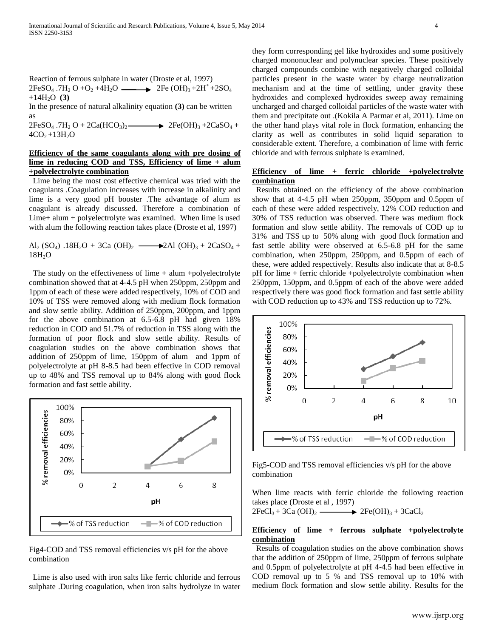Reaction of ferrous sulphate in water (Droste et al, 1997)  $2FeSO_4$ .7H<sub>2</sub> O +O<sub>2</sub> +4H<sub>2</sub>O  $\longrightarrow$  2Fe (OH)<sub>3</sub> +2H<sup>+</sup> +2SO<sub>4</sub>  $+14H<sub>2</sub>O$  **(3)** 

In the presence of natural alkalinity equation **(3)** can be written as

 $2FeSO_4$ .7H<sub>2</sub> O +  $2Ca(HCO_3)_2$   $\longrightarrow$   $2Fe(OH)_3 + 2CaSO_4 +$  $4CO<sub>2</sub>+13H<sub>2</sub>O$ 

# **Efficiency of the same coagulants along with pre dosing of lime in reducing COD and TSS, Efficiency of lime + alum +polyelectrolyte combination**

 Lime being the most cost effective chemical was tried with the coagulants .Coagulation increases with increase in alkalinity and lime is a very good pH booster .The advantage of alum as coagulant is already discussed. Therefore a combination of Lime+ alum + polyelectrolyte was examined. When lime is used with alum the following reaction takes place (Droste et al, 1997)

Al<sub>2</sub> (SO<sub>4</sub>) .18H<sub>2</sub>O + 3Ca (OH)<sub>2</sub>  $\longrightarrow$  2Al (OH)<sub>3</sub> + 2CaSO<sub>4</sub> +  $18H<sub>2</sub>O$ 

The study on the effectiveness of lime  $+$  alum  $+poly$ electrolyte combination showed that at 4-4.5 pH when 250ppm, 250ppm and 1ppm of each of these were added respectively, 10% of COD and 10% of TSS were removed along with medium flock formation and slow settle ability. Addition of 250ppm, 200ppm, and 1ppm for the above combination at 6.5-6.8 pH had given 18% reduction in COD and 51.7% of reduction in TSS along with the formation of poor flock and slow settle ability. Results of coagulation studies on the above combination shows that addition of 250ppm of lime, 150ppm of alum and 1ppm of polyelectrolyte at pH 8-8.5 had been effective in COD removal up to 48% and TSS removal up to 84% along with good flock formation and fast settle ability.



Fig4-COD and TSS removal efficiencies v/s pH for the above combination

 Lime is also used with iron salts like ferric chloride and ferrous sulphate .During coagulation, when iron salts hydrolyze in water they form corresponding gel like hydroxides and some positively charged mononuclear and polynuclear species. These positively charged compounds combine with negatively charged colloidal particles present in the waste water by charge neutralization mechanism and at the time of settling, under gravity these hydroxides and complexed hydroxides sweep away remaining uncharged and charged colloidal particles of the waste water with them and precipitate out .(Kokila A Parmar et al, 2011). Lime on the other hand plays vital role in flock formation, enhancing the clarity as well as contributes in solid liquid separation to considerable extent. Therefore, a combination of lime with ferric chloride and with ferrous sulphate is examined.

## **Efficiency of lime + ferric chloride +polyelectrolyte combination**

 Results obtained on the efficiency of the above combination show that at 4-4.5 pH when 250ppm, 350ppm and 0.5ppm of each of these were added respectively, 12% COD reduction and 30% of TSS reduction was observed. There was medium flock formation and slow settle ability. The removals of COD up to 31% and TSS up to 50% along with good flock formation and fast settle ability were observed at 6.5-6.8 pH for the same combination, when 250ppm, 250ppm, and 0.5ppm of each of these, were added respectively. Results also indicate that at 8-8.5 pH for lime + ferric chloride +polyelectrolyte combination when 250ppm, 150ppm, and 0.5ppm of each of the above were added respectively there was good flock formation and fast settle ability with COD reduction up to 43% and TSS reduction up to 72%.



Fig5-COD and TSS removal efficiencies v/s pH for the above combination

When lime reacts with ferric chloride the following reaction takes place (Droste et al , 1997)

 $2FeCl<sub>3</sub> + 3Ca(OH)<sub>2</sub>$   $\longrightarrow$   $2Fe(OH)<sub>3</sub> + 3CaCl<sub>2</sub>$ 

## **Efficiency of lime + ferrous sulphate +polyelectrolyte combination**

 Results of coagulation studies on the above combination shows that the addition of 250ppm of lime, 250ppm of ferrous sulphate and 0.5ppm of polyelectrolyte at pH 4-4.5 had been effective in COD removal up to 5 % and TSS removal up to 10% with medium flock formation and slow settle ability. Results for the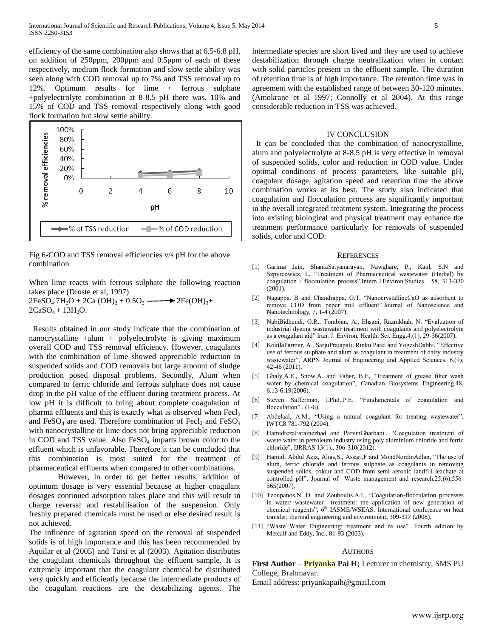efficiency of the same combination also shows that at 6.5-6.8 pH, on addition of 250ppm, 200ppm and 0.5ppm of each of these respectively, medium flock formation and slow settle ability was seen along with COD removal up to 7% and TSS removal up to 12%. Optimum results for lime + ferrous sulphate +polyelectrolyte combination at 8-8.5 pH there was, 10% and 15% of COD and TSS removal respectively along with good flock formation but slow settle ability.



Fig 6-COD and TSS removal efficiencies v/s pH for the above combination

When lime reacts with ferrous sulphate the following reaction takes place (Droste et al, 1997)  $2FeSO_4.7H_2O + 2Ca(OH)_2 + 0.5O_2 \longrightarrow 2Fe(OH)_3 +$  $2CaSO_4 + 13H_2O.$ 

 Results obtained in our study indicate that the combination of nanocrystalline +alum + polyelectrolyte is giving maximum overall COD and TSS removal efficiency. However, coagulants with the combination of lime showed appreciable reduction in suspended solids and COD removals but large amount of sludge production posed disposal problems. Secondly, Alum when compared to ferric chloride and ferrous sulphate does not cause drop in the pH value of the effluent during treatment process. At low pH it is difficult to bring about complete coagulation of pharma effluents and this is exactly what is observed when  $\text{Fecl}_3$ and FeSO<sub>4</sub> are used. Therefore combination of Fecl<sub>3</sub> and FeSO<sub>4</sub> with nanocrystalline or lime does not bring appreciable reduction in COD and TSS value. Also  $FeSO<sub>4</sub>$  imparts brown color to the effluent which is unfavorable. Therefore it can be concluded that this combination is most suited for the treatment of pharmaceutical effluents when compared to other combinations.

However, in order to get better results, addition of optimum dosage is very essential because at higher coagulant dosages continued adsorption takes place and this will result in charge reversal and restabilisation of the suspension. Only freshly prepared chemicals must be used or else desired result is not achieved.

The influence of agitation speed on the removal of suspended solids is of high importance and this has been recommended by Aquilar et al (2005) and Tatsi et al (2003). Agitation distributes the coagulant chemicals throughout the effluent sample. It is extremely important that the coagulant chemical be distributed very quickly and efficiently because the intermediate products of the coagulant reactions are the destabilizing agents. The

intermediate species are short lived and they are used to achieve destabilization through charge neutralization when in contact with solid particles present in the effluent sample. The duration of retention time is of high importance. The retention time was in agreement with the established range of between 30-120 minutes. (Amokrane et al 1997; Connolly et al 2004). At this range considerable reduction in TSS was achieved.

#### IV CONCLUSION

 It can be concluded that the combination of nanocrystalline, alum and polyelectrolyte at 8-8.5 pH is very effective in removal of suspended solids, color and reduction in COD value. Under optimal conditions of process parameters, like suitable pH, coagulant dosage, agitation speed and retention time the above combination works at its best. The study also indicated that coagulation and flocculation process are significantly important in the overall integrated treatment system. Integrating the process into existing biological and physical treatment may enhance the treatment performance particularly for removals of suspended solids, color and COD.

#### **REFERENCES**

- [1] Garima Jain, ShantaSatyanarayan, Nawghare, P., Kaul, S.N and Szpyrcowicz, L, "Treatment of Pharmaceutical wastewater (Herbal) by coagulation / flocculation process".Intern.J.Environ.Studies. 58, 313-330 (2001).
- [2] Nagappa. B and Chandrappa, G.T, "NanocrystallineCaO as adsorbent to remove COD from paper mill effluent".Journal of Nanoscience and Nanotechnology, 7, 1-4 (2007).
- [3] NabiBidhendi, G.R., Torabian, A., Ehsani, Razmkhah, N. "Evaluation of industrial dyeing wastewater treatment with coagulants and polyelectrolyte as a coagulant aid" Iran. J. Environ, Health. Sci. Engg.4.(1), 29-36(2007).
- [4] KokilaParmar, A., SarjuPrajapati, Rinku Patel and YogeshDabhi, "Effective use of ferrous sulphate and alum as coagulant in treatment of dairy industry wastewater", ARPN Journal of Engineering and Applied Sciences. 6.(9), 42-46 (2011).
- [5] Ghaly,A.E., Snow,A. and Faber, B.E, "Treatment of grease filter wash water by chemical coagulation", Canadian Biosystems Engineering.48, 6.13-6.19(2006).
- [6] Steven Safferman, I.Phd.,P.E. "Fundamentals of coagulation and flocculation".,  $(1-6)$ .
- [7] Abdelaal, A.M., "Using a natural coagulant for treating wastewater", IWTC8 781-792 (2004).
- [8] HamidrezaFarajnezhad and ParvinGharbani., "Coagulation treatment of waste water in petroleum industry using poly aluminium chloride and ferric chloride", IJRRAS 13(1)., 306-310(2012).
- [9] Hamidi Abdul Aziz, Alias,S., Assari,F and MohdNordinAdlan, "The use of alum, ferric chloride and ferrous sulphate as coagulants in removing suspended solids, colour and COD from semi aerobic landfill leachate at controlled pH", Journal of Waste management and research,25,(6),556- 565(2007).
- [10] Tzoupanos.N. D. and Zouboulis.A.I., "Coagulation-flocculation processes in water/ wastewater treatment: the application of new generation of chemical reagents", 6<sup>th</sup> IASME/WSEAS. International conference on heat transfer, thermal engineering and environment, 309-317 (2008).
- [11] "Waste Water Engineering: treatment and re use". Fourth edition by Metcalf and Eddy, Inc., 81-93 (2003).

## **AUTHORS**

**First Author – <b>Priyanka** Pai H; Lecturer in chemistry, SMS PU College, Brahmavar.

Email address: priyankapaih@gmail.com